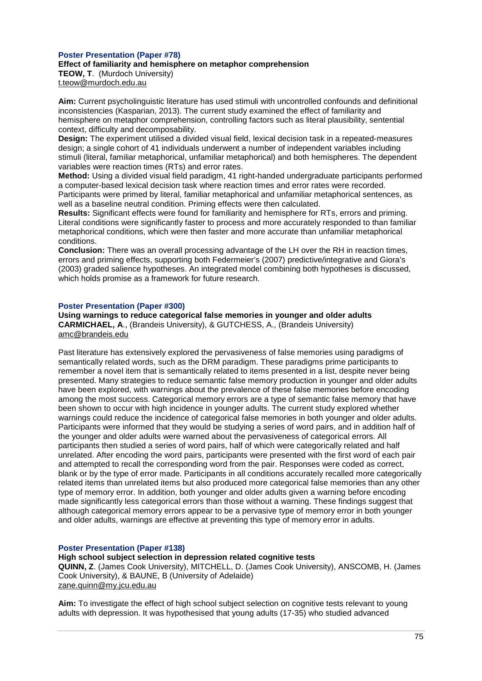## **Poster Presentation (Paper #78) Effect of familiarity and hemisphere on metaphor comprehension TEOW, T**. (Murdoch University) t.teow@murdoch.edu.au

**Aim:** Current psycholinguistic literature has used stimuli with uncontrolled confounds and definitional inconsistencies (Kasparian, 2013). The current study examined the effect of familiarity and hemisphere on metaphor comprehension, controlling factors such as literal plausibility, sentential context, difficulty and decomposability.

**Design:** The experiment utilised a divided visual field, lexical decision task in a repeated-measures design; a single cohort of 41 individuals underwent a number of independent variables including stimuli (literal, familiar metaphorical, unfamiliar metaphorical) and both hemispheres. The dependent variables were reaction times (RTs) and error rates.

**Method:** Using a divided visual field paradigm, 41 right-handed undergraduate participants performed a computer-based lexical decision task where reaction times and error rates were recorded. Participants were primed by literal, familiar metaphorical and unfamiliar metaphorical sentences, as well as a baseline neutral condition. Priming effects were then calculated.

**Results:** Significant effects were found for familiarity and hemisphere for RTs, errors and priming. Literal conditions were significantly faster to process and more accurately responded to than familiar metaphorical conditions, which were then faster and more accurate than unfamiliar metaphorical conditions.

**Conclusion:** There was an overall processing advantage of the LH over the RH in reaction times, errors and priming effects, supporting both Federmeier's (2007) predictive/integrative and Giora's (2003) graded salience hypotheses. An integrated model combining both hypotheses is discussed, which holds promise as a framework for future research.

## **Poster Presentation (Paper #300)**

**Using warnings to reduce categorical false memories in younger and older adults CARMICHAEL, A**., (Brandeis University), & GUTCHESS, A., (Brandeis University) amc@brandeis.edu

Past literature has extensively explored the pervasiveness of false memories using paradigms of semantically related words, such as the DRM paradigm. These paradigms prime participants to remember a novel item that is semantically related to items presented in a list, despite never being presented. Many strategies to reduce semantic false memory production in younger and older adults have been explored, with warnings about the prevalence of these false memories before encoding among the most success. Categorical memory errors are a type of semantic false memory that have been shown to occur with high incidence in younger adults. The current study explored whether warnings could reduce the incidence of categorical false memories in both younger and older adults. Participants were informed that they would be studying a series of word pairs, and in addition half of the younger and older adults were warned about the pervasiveness of categorical errors. All participants then studied a series of word pairs, half of which were categorically related and half unrelated. After encoding the word pairs, participants were presented with the first word of each pair and attempted to recall the corresponding word from the pair. Responses were coded as correct, blank or by the type of error made. Participants in all conditions accurately recalled more categorically related items than unrelated items but also produced more categorical false memories than any other type of memory error. In addition, both younger and older adults given a warning before encoding made significantly less categorical errors than those without a warning. These findings suggest that although categorical memory errors appear to be a pervasive type of memory error in both younger and older adults, warnings are effective at preventing this type of memory error in adults.

## **Poster Presentation (Paper #138)**

**High school subject selection in depression related cognitive tests**

**QUINN, Z**. (James Cook University), MITCHELL, D. (James Cook University), ANSCOMB, H. (James Cook University), & BAUNE, B (University of Adelaide) zane.quinn@my.jcu.edu.au

**Aim:** To investigate the effect of high school subject selection on cognitive tests relevant to young adults with depression. It was hypothesised that young adults (17-35) who studied advanced